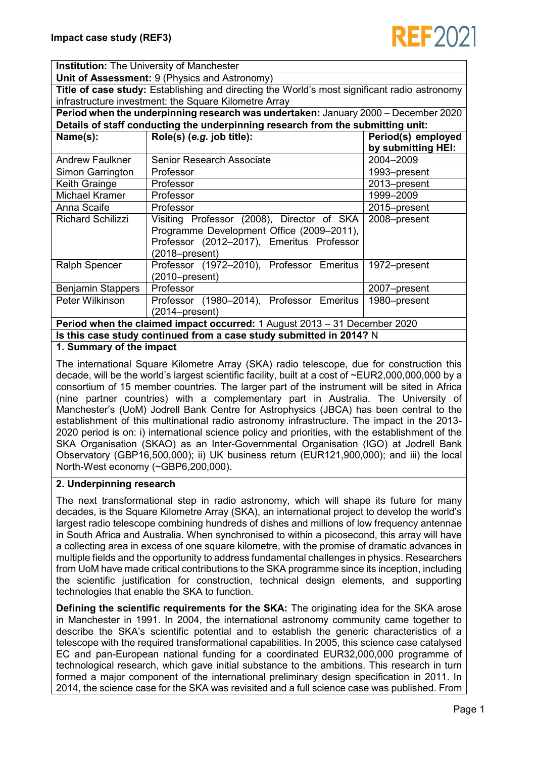

**Institution:** The University of Manchester

**Unit of Assessment:** 9 (Physics and Astronomy)

**Title of case study:** Establishing and directing the World's most significant radio astronomy infrastructure investment: the Square Kilometre Array

**Period when the underpinning research was undertaken:** January 2000 – December 2020

| Details of staff conducting the underpinning research from the submitting unit: |                                            |                    |
|---------------------------------------------------------------------------------|--------------------------------------------|--------------------|
| Name(s):                                                                        | Role(s) (e.g. job title):                  | Period(s) employed |
|                                                                                 |                                            | by submitting HEI: |
| <b>Andrew Faulkner</b>                                                          | <b>Senior Research Associate</b>           | 2004-2009          |
| Simon Garrington                                                                | Professor                                  | 1993-present       |
| Keith Grainge                                                                   | Professor                                  | 2013-present       |
| <b>Michael Kramer</b>                                                           | Professor                                  | 1999-2009          |
| Anna Scaife                                                                     | Professor                                  | 2015-present       |
| <b>Richard Schilizzi</b>                                                        | Visiting Professor (2008), Director of SKA | 2008-present       |
|                                                                                 | Programme Development Office (2009–2011),  |                    |
|                                                                                 | Professor (2012-2017), Emeritus Professor  |                    |
|                                                                                 | $(2018 - present)$                         |                    |
| Ralph Spencer                                                                   | Professor (1972-2010), Professor Emeritus  | 1972-present       |
|                                                                                 | $(2010 - present)$                         |                    |
| <b>Benjamin Stappers</b>                                                        | Professor                                  | 2007-present       |
| Peter Wilkinson                                                                 | Professor (1980–2014), Professor Emeritus  | 1980-present       |
|                                                                                 | $(2014 - present)$                         |                    |
| Period when the claimed impact occurred: 1 August 2013 - 31 December 2020       |                                            |                    |

**Is this case study continued from a case study submitted in 2014?** N

## **1. Summary of the impact**

The international Square Kilometre Array (SKA) radio telescope, due for construction this decade, will be the world's largest scientific facility, built at a cost of ~EUR2,000,000,000 by a consortium of 15 member countries. The larger part of the instrument will be sited in Africa (nine partner countries) with a complementary part in Australia. The University of Manchester's (UoM) Jodrell Bank Centre for Astrophysics (JBCA) has been central to the establishment of this multinational radio astronomy infrastructure. The impact in the 2013- 2020 period is on: i) international science policy and priorities, with the establishment of the SKA Organisation (SKAO) as an Inter-Governmental Organisation (IGO) at Jodrell Bank Observatory (GBP16,500,000); ii) UK business return (EUR121,900,000); and iii) the local North-West economy (~GBP6,200,000).

# **2. Underpinning research**

The next transformational step in radio astronomy, which will shape its future for many decades, is the Square Kilometre Array (SKA), an international project to develop the world's largest radio telescope combining hundreds of dishes and millions of low frequency antennae in South Africa and Australia. When synchronised to within a picosecond, this array will have a collecting area in excess of one square kilometre, with the promise of dramatic advances in multiple fields and the opportunity to address fundamental challenges in physics. Researchers from UoM have made critical contributions to the SKA programme since its inception, including the scientific justification for construction, technical design elements, and supporting technologies that enable the SKA to function.

**Defining the scientific requirements for the SKA:** The originating idea for the SKA arose in Manchester in 1991. In 2004, the international astronomy community came together to describe the SKA's scientific potential and to establish the generic characteristics of a telescope with the required transformational capabilities. In 2005, this science case catalysed EC and pan-European national funding for a coordinated EUR32,000,000 programme of technological research, which gave initial substance to the ambitions. This research in turn formed a major component of the international preliminary design specification in 2011. In 2014, the science case for the SKA was revisited and a full science case was published. From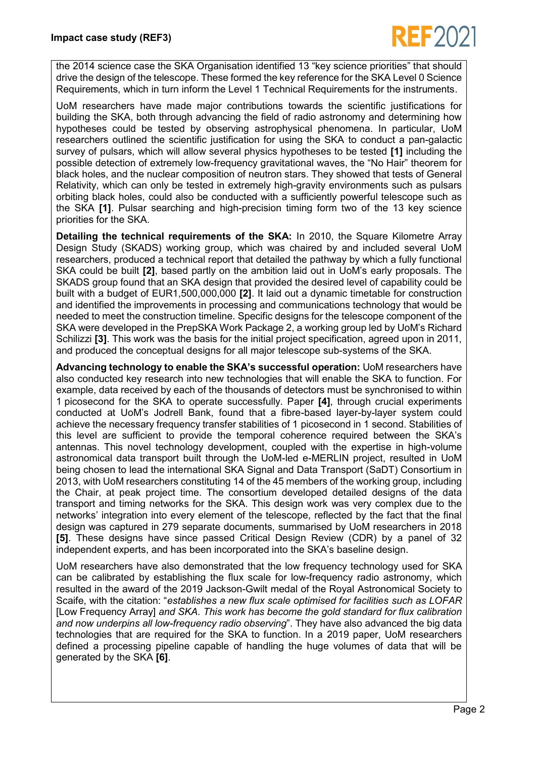

the 2014 science case the SKA Organisation identified 13 "key science priorities" that should drive the design of the telescope. These formed the key reference for the SKA Level 0 Science Requirements, which in turn inform the Level 1 Technical Requirements for the instruments.

UoM researchers have made major contributions towards the scientific justifications for building the SKA, both through advancing the field of radio astronomy and determining how hypotheses could be tested by observing astrophysical phenomena. In particular, UoM researchers outlined the scientific justification for using the SKA to conduct a pan-galactic survey of pulsars, which will allow several physics hypotheses to be tested **[1]** including the possible detection of extremely low-frequency gravitational waves, the "No Hair" theorem for black holes, and the nuclear composition of neutron stars. They showed that tests of General Relativity, which can only be tested in extremely high-gravity environments such as pulsars orbiting black holes, could also be conducted with a sufficiently powerful telescope such as the SKA **[1]**. Pulsar searching and high-precision timing form two of the 13 key science priorities for the SKA.

**Detailing the technical requirements of the SKA: In 2010, the Square Kilometre Array** Design Study (SKADS) working group, which was chaired by and included several UoM researchers, produced a technical report that detailed the pathway by which a fully functional SKA could be built **[2]**, based partly on the ambition laid out in UoM's early proposals. The SKADS group found that an SKA design that provided the desired level of capability could be built with a budget of EUR1,500,000,000 **[2]**. It laid out a dynamic timetable for construction and identified the improvements in processing and communications technology that would be needed to meet the construction timeline. Specific designs for the telescope component of the SKA were developed in the PrepSKA Work Package 2, a working group led by UoM's Richard Schilizzi **[3]**. This work was the basis for the initial project specification, agreed upon in 2011, and produced the conceptual designs for all major telescope sub-systems of the SKA.

**Advancing technology to enable the SKA's successful operation:** UoM researchers have also conducted key research into new technologies that will enable the SKA to function. For example, data received by each of the thousands of detectors must be synchronised to within 1 picosecond for the SKA to operate successfully. Paper **[4]**, through crucial experiments conducted at UoM's Jodrell Bank, found that a fibre-based layer-by-layer system could achieve the necessary frequency transfer stabilities of 1 picosecond in 1 second. Stabilities of this level are sufficient to provide the temporal coherence required between the SKA's antennas. This novel technology development, coupled with the expertise in high-volume astronomical data transport built through the UoM-led e-MERLIN project, resulted in UoM being chosen to lead the international SKA Signal and Data Transport (SaDT) Consortium in 2013, with UoM researchers constituting 14 of the 45 members of the working group, including the Chair, at peak project time. The consortium developed detailed designs of the data transport and timing networks for the SKA. This design work was very complex due to the networks' integration into every element of the telescope, reflected by the fact that the final design was captured in 279 separate documents, summarised by UoM researchers in 2018 **[5]**. These designs have since passed Critical Design Review (CDR) by a panel of 32 independent experts, and has been incorporated into the SKA's baseline design.

UoM researchers have also demonstrated that the low frequency technology used for SKA can be calibrated by establishing the flux scale for low-frequency radio astronomy, which resulted in the award of the 2019 Jackson-Gwilt medal of the Royal Astronomical Society to Scaife, with the citation: "*establishes a new flux scale optimised for facilities such as LOFAR* [Low Frequency Array] *and SKA. This work has become the gold standard for flux calibration and now underpins all low-frequency radio observing*". They have also advanced the big data technologies that are required for the SKA to function. In a 2019 paper, UoM researchers defined a processing pipeline capable of handling the huge volumes of data that will be generated by the SKA **[6]**.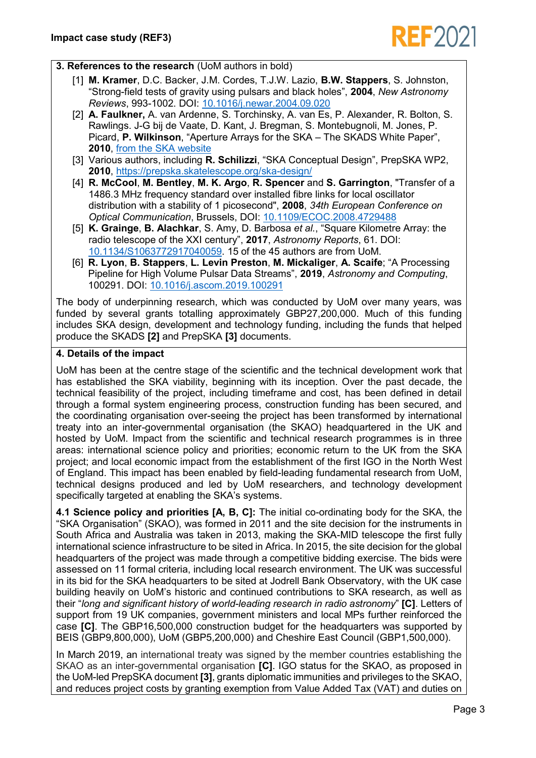

# **3. References to the research** (UoM authors in bold)

- [1] **M. Kramer**, D.C. Backer, J.M. Cordes, T.J.W. Lazio, **B.W. Stappers**, S. Johnston, "Strong-field tests of gravity using pulsars and black holes", **2004**, *New Astronomy Reviews*, 993-1002. DOI: [10.1016/j.newar.2004.09.020](https://doi.org/10.1016/j.newar.2004.09.020)
- [2] **A. Faulkner,** A. van Ardenne, S. Torchinsky, A. van Es, P. Alexander, R. Bolton, S. Rawlings. J-G bij de Vaate, D. Kant, J. Bregman, S. Montebugnoli, M. Jones, P. Picard, **P. Wilkinson**, "Aperture Arrays for the SKA – The SKADS White Paper", **2010**, [from the SKA website](https://www.skatelescope.org/public/2011-06-28_Signal_Transport_and_Networks_CoDR/CoDR_Applicabledocuments/AppDoc11_122_Memo_Faulkner.pdf)
- [3] Various authors, including **R. Schilizzi**, "SKA Conceptual Design", PrepSKA WP2, **2010**,<https://prepska.skatelescope.org/ska-design/>
- [4] **R. McCool**, **M. Bentley**, **M. K. Argo**, **R. Spencer** and **S. Garrington**, "Transfer of a 1486.3 MHz frequency standard over installed fibre links for local oscillator distribution with a stability of 1 picosecond", **2008**, *34th European Conference on Optical Communication*, Brussels, DOI: [10.1109/ECOC.2008.4729488](https://doi.org/10.1109/ECOC.2008.4729488)
- [5] **K. Grainge**, **B. Alachkar**, S. Amy, D. Barbosa *et al.*, "Square Kilometre Array: the radio telescope of the XXI century", **2017**, *Astronomy Reports*, 61. DOI: [10.1134/S1063772917040059.](https://doi.org/10.1134/S1063772917040059) 15 of the 45 authors are from UoM.
- [6] **R. Lyon**, **B. Stappers**, **L. Levin Preston**, **M. Mickaliger**, **A. Scaife**; "A Processing Pipeline for High Volume Pulsar Data Streams", **2019**, *Astronomy and Computing*, 100291. DOI: [10.1016/j.ascom.2019.100291](https://doi.org/10.1016/j.ascom.2019.100291)

The body of underpinning research, which was conducted by UoM over many years, was funded by several grants totalling approximately GBP27,200,000. Much of this funding includes SKA design, development and technology funding, including the funds that helped produce the SKADS **[2]** and PrepSKA **[3]** documents.

#### **4. Details of the impact**

UoM has been at the centre stage of the scientific and the technical development work that has established the SKA viability, beginning with its inception. Over the past decade, the technical feasibility of the project, including timeframe and cost, has been defined in detail through a formal system engineering process, construction funding has been secured, and the coordinating organisation over-seeing the project has been transformed by international treaty into an inter-governmental organisation (the SKAO) headquartered in the UK and hosted by UoM. Impact from the scientific and technical research programmes is in three areas: international science policy and priorities; economic return to the UK from the SKA project; and local economic impact from the establishment of the first IGO in the North West of England. This impact has been enabled by field-leading fundamental research from UoM, technical designs produced and led by UoM researchers, and technology development specifically targeted at enabling the SKA's systems.

**4.1 Science policy and priorities [A, B, C]:** The initial co-ordinating body for the SKA, the "SKA Organisation" (SKAO), was formed in 2011 and the site decision for the instruments in South Africa and Australia was taken in 2013, making the SKA-MID telescope the first fully international science infrastructure to be sited in Africa. In 2015, the site decision for the global headquarters of the project was made through a competitive bidding exercise. The bids were assessed on 11 formal criteria, including local research environment. The UK was successful in its bid for the SKA headquarters to be sited at Jodrell Bank Observatory, with the UK case building heavily on UoM's historic and continued contributions to SKA research, as well as their "*long and significant history of world-leading research in radio astronomy*" **[C]**. Letters of support from 19 UK companies, government ministers and local MPs further reinforced the case **[C]**. The GBP16,500,000 construction budget for the headquarters was supported by BEIS (GBP9,800,000), UoM (GBP5,200,000) and Cheshire East Council (GBP1,500,000).

In March 2019, an international treaty was signed by the member countries establishing the SKAO as an inter-governmental organisation **[C]**. IGO status for the SKAO, as proposed in the UoM-led PrepSKA document **[3]**, grants diplomatic immunities and privileges to the SKAO, and reduces project costs by granting exemption from Value Added Tax (VAT) and duties on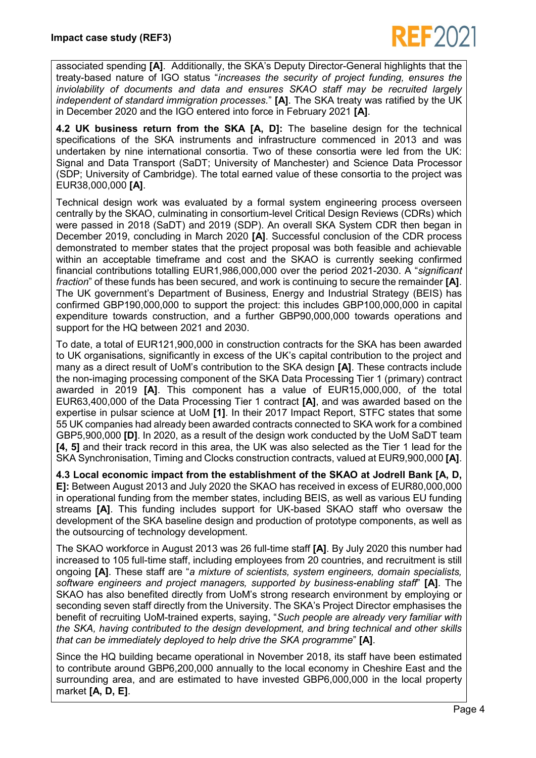associated spending **[A]**. Additionally, the SKA's Deputy Director-General highlights that the treaty-based nature of IGO status "*increases the security of project funding, ensures the inviolability of documents and data and ensures SKAO staff may be recruited largely independent of standard immigration processes.*" **[A]**. The SKA treaty was ratified by the UK in December 2020 and the IGO entered into force in February 2021 **[A]**.

**4.2 UK business return from the SKA [A, D]:** The baseline design for the technical specifications of the SKA instruments and infrastructure commenced in 2013 and was undertaken by nine international consortia. Two of these consortia were led from the UK: Signal and Data Transport (SaDT; University of Manchester) and Science Data Processor (SDP; University of Cambridge). The total earned value of these consortia to the project was EUR38,000,000 **[A]**.

Technical design work was evaluated by a formal system engineering process overseen centrally by the SKAO, culminating in consortium-level Critical Design Reviews (CDRs) which were passed in 2018 (SaDT) and 2019 (SDP). An overall SKA System CDR then began in December 2019, concluding in March 2020 **[A]**. Successful conclusion of the CDR process demonstrated to member states that the project proposal was both feasible and achievable within an acceptable timeframe and cost and the SKAO is currently seeking confirmed financial contributions totalling EUR1,986,000,000 over the period 2021-2030. A "*significant fraction*" of these funds has been secured, and work is continuing to secure the remainder **[A]**. The UK government's Department of Business, Energy and Industrial Strategy (BEIS) has confirmed GBP190,000,000 to support the project: this includes GBP100,000,000 in capital expenditure towards construction, and a further GBP90,000,000 towards operations and support for the HQ between 2021 and 2030.

To date, a total of EUR121,900,000 in construction contracts for the SKA has been awarded to UK organisations, significantly in excess of the UK's capital contribution to the project and many as a direct result of UoM's contribution to the SKA design **[A]**. These contracts include the non-imaging processing component of the SKA Data Processing Tier 1 (primary) contract awarded in 2019 **[A]**. This component has a value of EUR15,000,000, of the total EUR63,400,000 of the Data Processing Tier 1 contract **[A]**, and was awarded based on the expertise in pulsar science at UoM **[1]**. In their 2017 Impact Report, STFC states that some 55 UK companies had already been awarded contracts connected to SKA work for a combined GBP5,900,000 **[D]**. In 2020, as a result of the design work conducted by the UoM SaDT team **[4, 5]** and their track record in this area, the UK was also selected as the Tier 1 lead for the SKA Synchronisation, Timing and Clocks construction contracts, valued at EUR9,900,000 **[A]**.

**4.3 Local economic impact from the establishment of the SKAO at Jodrell Bank [A, D, E]:** Between August 2013 and July 2020 the SKAO has received in excess of EUR80,000,000 in operational funding from the member states, including BEIS, as well as various EU funding streams **[A]**. This funding includes support for UK-based SKAO staff who oversaw the development of the SKA baseline design and production of prototype components, as well as the outsourcing of technology development.

The SKAO workforce in August 2013 was 26 full-time staff **[A]**. By July 2020 this number had increased to 105 full-time staff, including employees from 20 countries, and recruitment is still ongoing **[A]**. These staff are "*a mixture of scientists, system engineers, domain specialists, software engineers and project managers, supported by business-enabling staff*" **[A]**. The SKAO has also benefited directly from UoM's strong research environment by employing or seconding seven staff directly from the University. The SKA's Project Director emphasises the benefit of recruiting UoM-trained experts, saying, "*Such people are already very familiar with the SKA, having contributed to the design development, and bring technical and other skills that can be immediately deployed to help drive the SKA programme*" **[A]**.

Since the HQ building became operational in November 2018, its staff have been estimated to contribute around GBP6,200,000 annually to the local economy in Cheshire East and the surrounding area, and are estimated to have invested GBP6,000,000 in the local property market **[A, D, E]**.